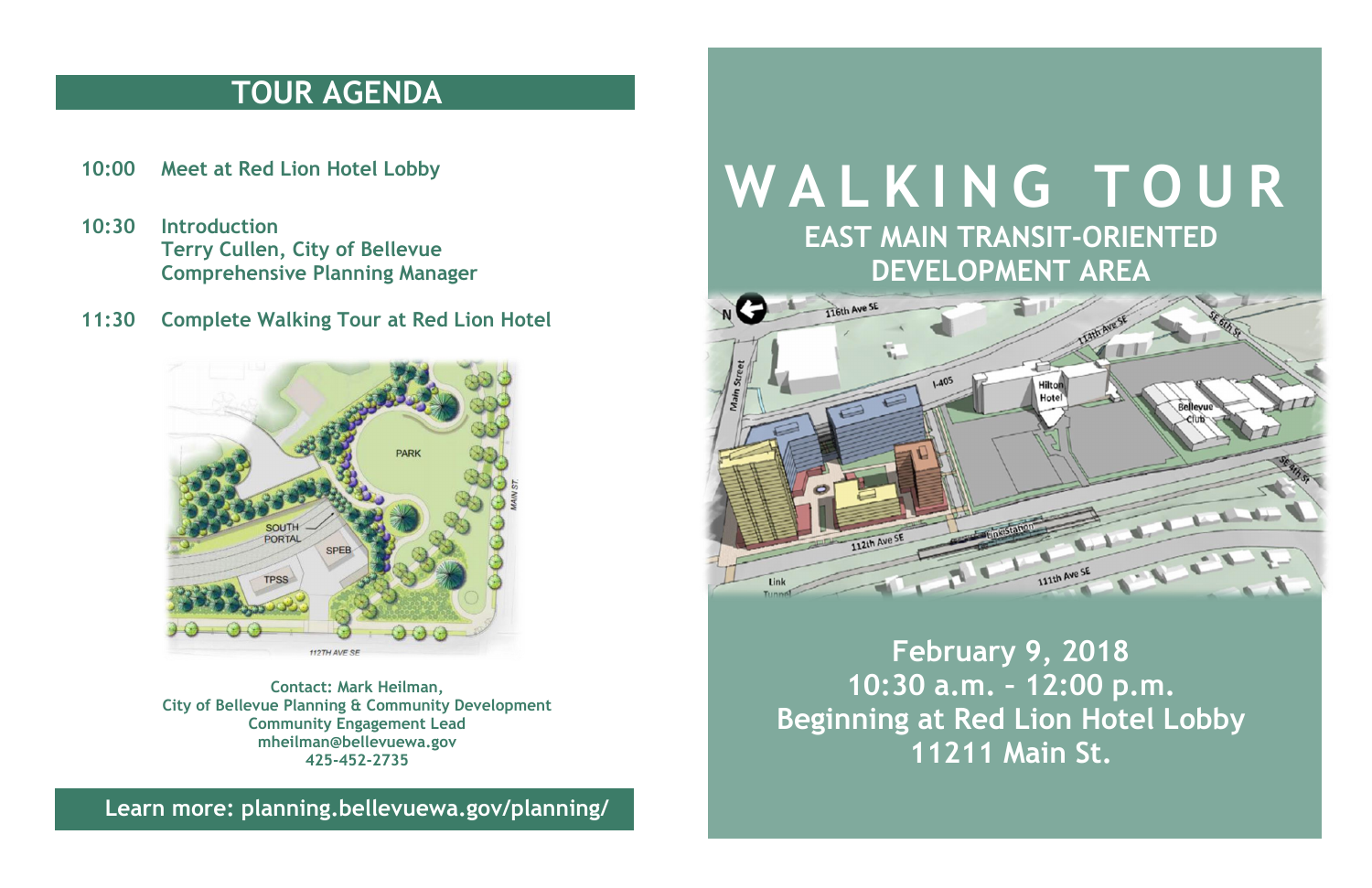## **TOUR AGENDA**

- **10:00 Meet at Red Lion Hotel Lobby**
- **10:30 Introduction Terry Cullen, City of Bellevue Comprehensive Planning Manager**
- **11:30 Complete Walking Tour at Red Lion Hotel**



**Contact: Mark Heilman, City of Bellevue Planning & Community Development Community Engagement Lead mheilman@bellevuewa.gov 425-452-2735**

**Learn more: planning.bellevuewa.gov/planning/**

## **W A L K I N G T O U R EAST MAIN TRANSIT-ORIENTED DEVELOPMENT AREA**



**February 9, 2018 10:30 a.m. – 12:00 p.m. Beginning at Red Lion Hotel Lobby 11211 Main St.**